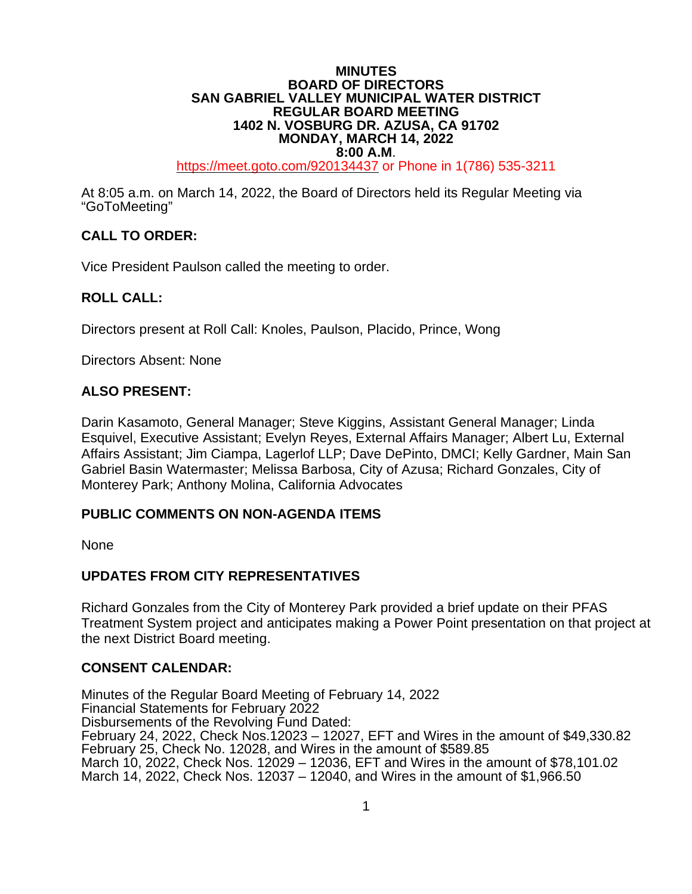### **MINUTES BOARD OF DIRECTORS SAN GABRIEL VALLEY MUNICIPAL WATER DISTRICT REGULAR BOARD MEETING 1402 N. VOSBURG DR. AZUSA, CA 91702 MONDAY, MARCH 14, 2022**

**8:00 A.M.**<br>[https://meet.goto.com/9](https://global.gotomeeting.com/join/6)20134437 or Phone in 1(786) 535-3211

At 8:05 a.m. on March 14, 2022, the Board of Directors held its Regular Meeting via "GoToMeeting"

## **CALL TO ORDER:**

Vice President Paulson called the meeting to order.

### **ROLL CALL:**

Directors present at Roll Call: Knoles, Paulson, Placido, Prince, Wong

Directors Absent: None

### **ALSO PRESENT:**

Darin Kasamoto, General Manager; Steve Kiggins, Assistant General Manager; Linda Esquivel, Executive Assistant; Evelyn Reyes, External Affairs Manager; Albert Lu, External Affairs Assistant; Jim Ciampa, Lagerlof LLP; Dave DePinto, DMCI; Kelly Gardner, Main San Gabriel Basin Watermaster; Melissa Barbosa, City of Azusa; Richard Gonzales, City of Monterey Park; Anthony Molina, California Advocates

### **PUBLIC COMMENTS ON NON-AGENDA ITEMS**

None

### **UPDATES FROM CITY REPRESENTATIVES**

Richard Gonzales from the City of Monterey Park provided a brief update on their PFAS Treatment System project and anticipates making a Power Point presentation on that project at the next District Board meeting.

### **CONSENT CALENDAR:**

Minutes of the Regular Board Meeting of February 14, 2022 Financial Statements for February 2022 Disbursements of the Revolving Fund Dated: February 24, 2022, Check Nos.12023 – 12027, EFT and Wires in the amount of \$49,330.82 February 25, Check No. 12028, and Wires in the amount of \$589.85 March 10, 2022, Check Nos. 12029 – 12036, EFT and Wires in the amount of \$78,101.02 March 14, 2022, Check Nos. 12037 – 12040, and Wires in the amount of \$1,966.50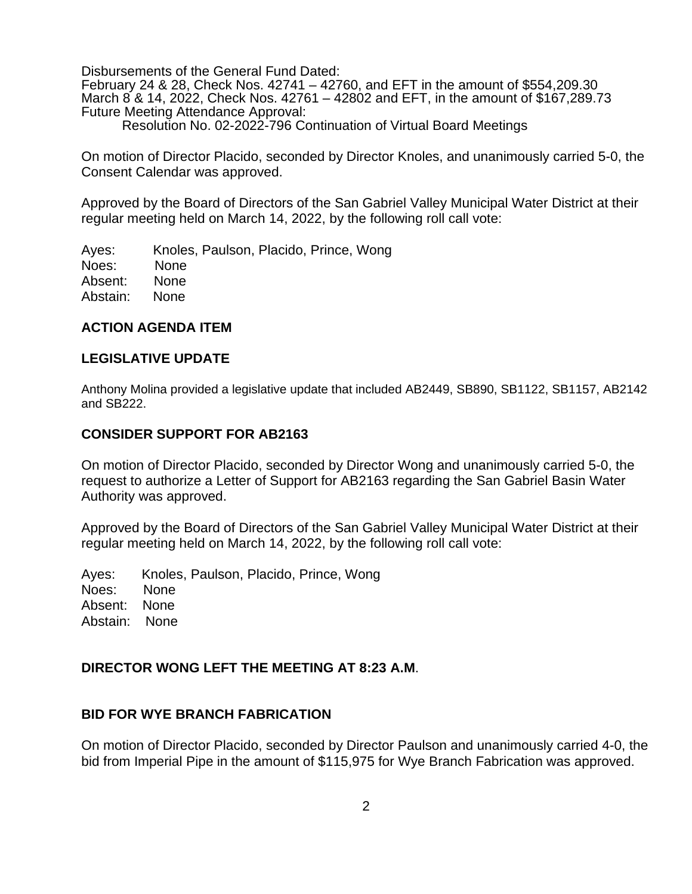Disbursements of the General Fund Dated:

February 24 & 28, Check Nos. 42741 – 42760, and EFT in the amount of \$554,209.30 March 8 & 14, 2022, Check Nos. 42761 – 42802 and EFT, in the amount of \$167,289.73 Future Meeting Attendance Approval: Resolution No. 02-2022-796 Continuation of Virtual Board Meetings

On motion of Director Placido, seconded by Director Knoles, and unanimously carried 5-0, the Consent Calendar was approved.

Approved by the Board of Directors of the San Gabriel Valley Municipal Water District at their regular meeting held on March 14, 2022, by the following roll call vote:

Ayes: Knoles, Paulson, Placido, Prince, Wong Noes: None Absent: None Abstain: None

### **ACTION AGENDA ITEM**

### **LEGISLATIVE UPDATE**

Anthony Molina provided a legislative update that included AB2449, SB890, SB1122, SB1157, AB2142 and SB222.

### **CONSIDER SUPPORT FOR AB2163**

On motion of Director Placido, seconded by Director Wong and unanimously carried 5-0, the request to authorize a Letter of Support for AB2163 regarding the San Gabriel Basin Water Authority was approved.

Approved by the Board of Directors of the San Gabriel Valley Municipal Water District at their regular meeting held on March 14, 2022, by the following roll call vote:

Ayes: Knoles, Paulson, Placido, Prince, Wong Noes: None Absent: None Abstain: None

### **DIRECTOR WONG LEFT THE MEETING AT 8:23 A.M**.

### **BID FOR WYE BRANCH FABRICATION**

On motion of Director Placido, seconded by Director Paulson and unanimously carried 4-0, the bid from Imperial Pipe in the amount of \$115,975 for Wye Branch Fabrication was approved.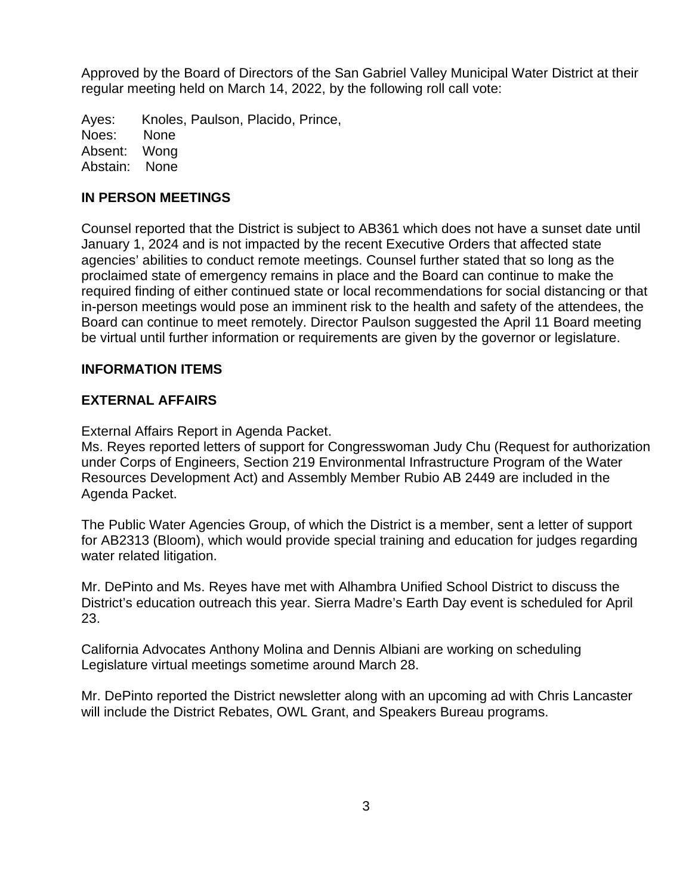Approved by the Board of Directors of the San Gabriel Valley Municipal Water District at their regular meeting held on March 14, 2022, by the following roll call vote:

Ayes: Knoles, Paulson, Placido, Prince, Noes: None Absent: Wong Abstain: None

## **IN PERSON MEETINGS**

Counsel reported that the District is subject to AB361 which does not have a sunset date until January 1, 2024 and is not impacted by the recent Executive Orders that affected state agencies' abilities to conduct remote meetings. Counsel further stated that so long as the proclaimed state of emergency remains in place and the Board can continue to make the required finding of either continued state or local recommendations for social distancing or that in-person meetings would pose an imminent risk to the health and safety of the attendees, the Board can continue to meet remotely. Director Paulson suggested the April 11 Board meeting be virtual until further information or requirements are given by the governor or legislature.

### **INFORMATION ITEMS**

### **EXTERNAL AFFAIRS**

External Affairs Report in Agenda Packet.

Ms. Reyes reported letters of support for Congresswoman Judy Chu (Request for authorization under Corps of Engineers, Section 219 Environmental Infrastructure Program of the Water Resources Development Act) and Assembly Member Rubio AB 2449 are included in the Agenda Packet.

The Public Water Agencies Group, of which the District is a member, sent a letter of support for AB2313 (Bloom), which would provide special training and education for judges regarding water related litigation.

Mr. DePinto and Ms. Reyes have met with Alhambra Unified School District to discuss the District's education outreach this year. Sierra Madre's Earth Day event is scheduled for April 23.

California Advocates Anthony Molina and Dennis Albiani are working on scheduling Legislature virtual meetings sometime around March 28.

Mr. DePinto reported the District newsletter along with an upcoming ad with Chris Lancaster will include the District Rebates, OWL Grant, and Speakers Bureau programs.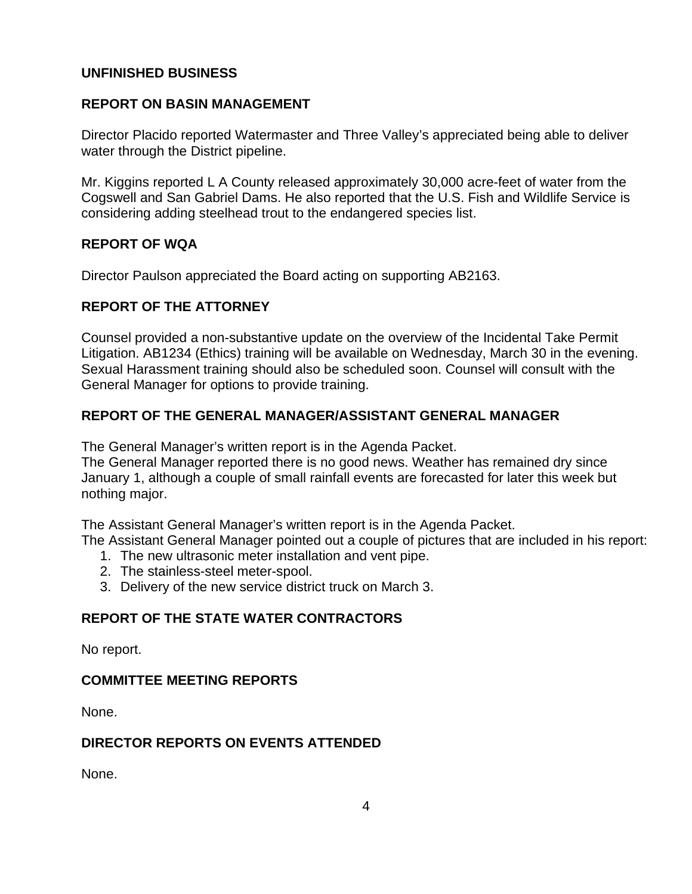## **UNFINISHED BUSINESS**

## **REPORT ON BASIN MANAGEMENT**

Director Placido reported Watermaster and Three Valley's appreciated being able to deliver water through the District pipeline.

Mr. Kiggins reported L A County released approximately 30,000 acre-feet of water from the Cogswell and San Gabriel Dams. He also reported that the U.S. Fish and Wildlife Service is considering adding steelhead trout to the endangered species list.

### **REPORT OF WQA**

Director Paulson appreciated the Board acting on supporting AB2163.

# **REPORT OF THE ATTORNEY**

Counsel provided a non-substantive update on the overview of the Incidental Take Permit Litigation. AB1234 (Ethics) training will be available on Wednesday, March 30 in the evening. Sexual Harassment training should also be scheduled soon. Counsel will consult with the General Manager for options to provide training.

## **REPORT OF THE GENERAL MANAGER/ASSISTANT GENERAL MANAGER**

The General Manager's written report is in the Agenda Packet.

The General Manager reported there is no good news. Weather has remained dry since January 1, although a couple of small rainfall events are forecasted for later this week but nothing major.

The Assistant General Manager's written report is in the Agenda Packet.

The Assistant General Manager pointed out a couple of pictures that are included in his report:

- 1. The new ultrasonic meter installation and vent pipe.
- 2. The stainless-steel meter-spool.
- 3. Delivery of the new service district truck on March 3.

## **REPORT OF THE STATE WATER CONTRACTORS**

No report.

## **COMMITTEE MEETING REPORTS**

None.

## **DIRECTOR REPORTS ON EVENTS ATTENDED**

None.